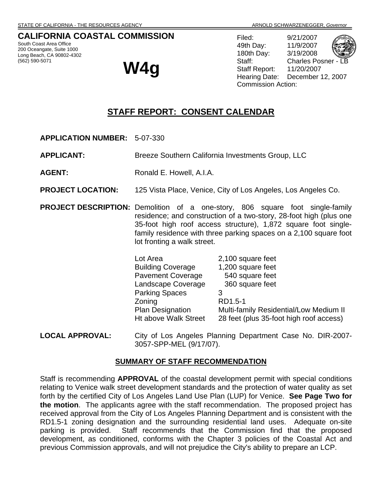# **CALIFORNIA COASTAL COMMISSION**

South Coast Area Office 200 Oceangate, Suite 1000 Long Beach, CA 90802-4302 (562) 590-5071

**W4g** 

Filed: 9/21/2007 49th Day: 11/9/2007 180th Day: 3/19/2008 Staff: Charles Posner Staff Report: 11/20/2007 Hearing Date: December 12, 2007 Commission Action:

# **STAFF REPORT: CONSENT CALENDAR**

**APPLICATION NUMBER:** 5-07-330

**APPLICANT:** Breeze Southern California Investments Group, LLC

- **AGENT:** Ronald E. Howell, A.I.A.
- **PROJECT LOCATION:** 125 Vista Place, Venice, City of Los Angeles, Los Angeles Co.
- **PROJECT DESCRIPTION:** Demolition of a one-story, 806 square foot single-family residence; and construction of a two-story, 28-foot high (plus one 35-foot high roof access structure), 1,872 square foot singlefamily residence with three parking spaces on a 2,100 square foot lot fronting a walk street.

| Lot Area                 | 2,100 square feet                       |
|--------------------------|-----------------------------------------|
| <b>Building Coverage</b> | 1,200 square feet                       |
| <b>Pavement Coverage</b> | 540 square feet                         |
| Landscape Coverage       | 360 square feet                         |
| <b>Parking Spaces</b>    | 3                                       |
| Zoning                   | RD1.5-1                                 |
| <b>Plan Designation</b>  | Multi-family Residential/Low Medium II  |
| Ht above Walk Street     | 28 feet (plus 35-foot high roof access) |
|                          |                                         |

**LOCAL APPROVAL:** City of Los Angeles Planning Department Case No. DIR-2007- 3057-SPP-MEL (9/17/07).

#### **SUMMARY OF STAFF RECOMMENDATION**

Staff is recommending **APPROVAL** of the coastal development permit with special conditions relating to Venice walk street development standards and the protection of water quality as set forth by the certified City of Los Angeles Land Use Plan (LUP) for Venice. **See Page Two for the motion**. The applicants agree with the staff recommendation. The proposed project has received approval from the City of Los Angeles Planning Department and is consistent with the RD1.5-1 zoning designation and the surrounding residential land uses. Adequate on-site parking is provided. Staff recommends that the Commission find that the proposed development, as conditioned, conforms with the Chapter 3 policies of the Coastal Act and previous Commission approvals, and will not prejudice the City's ability to prepare an LCP.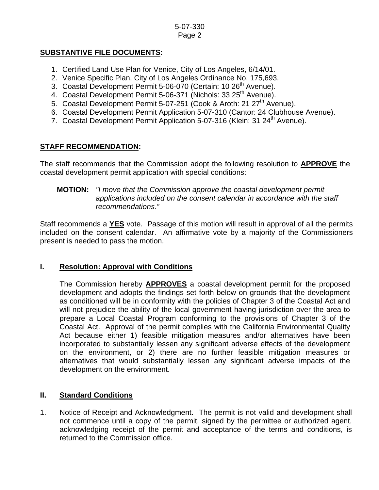## **SUBSTANTIVE FILE DOCUMENTS:**

- 1. Certified Land Use Plan for Venice, City of Los Angeles, 6/14/01.
- 2. Venice Specific Plan, City of Los Angeles Ordinance No. 175,693.
- 3. Coastal Development Permit 5-06-070 (Certain: 10 26<sup>th</sup> Avenue).
- 4. Coastal Development Permit 5-06-371 (Nichols: 33 25<sup>th</sup> Avenue).
- 5. Coastal Development Permit 5-07-251 (Cook & Aroth: 21 27<sup>th</sup> Avenue).
- 6. Coastal Development Permit Application 5-07-310 (Cantor: 24 Clubhouse Avenue).
- 7. Coastal Development Permit Application 5-07-316 (Klein: 31 24<sup>th</sup> Avenue).

# **STAFF RECOMMENDATION:**

The staff recommends that the Commission adopt the following resolution to **APPROVE** the coastal development permit application with special conditions:

#### **MOTION:** *"I move that the Commission approve the coastal development permit applications included on the consent calendar in accordance with the staff recommendations."*

Staff recommends a **YES** vote. Passage of this motion will result in approval of all the permits included on the consent calendar. An affirmative vote by a majority of the Commissioners present is needed to pass the motion.

### **I. Resolution: Approval with Conditions**

The Commission hereby **APPROVES** a coastal development permit for the proposed development and adopts the findings set forth below on grounds that the development as conditioned will be in conformity with the policies of Chapter 3 of the Coastal Act and will not prejudice the ability of the local government having jurisdiction over the area to prepare a Local Coastal Program conforming to the provisions of Chapter 3 of the Coastal Act. Approval of the permit complies with the California Environmental Quality Act because either 1) feasible mitigation measures and/or alternatives have been incorporated to substantially lessen any significant adverse effects of the development on the environment, or 2) there are no further feasible mitigation measures or alternatives that would substantially lessen any significant adverse impacts of the development on the environment.

# **II. Standard Conditions**

1. Notice of Receipt and Acknowledgment. The permit is not valid and development shall not commence until a copy of the permit, signed by the permittee or authorized agent, acknowledging receipt of the permit and acceptance of the terms and conditions, is returned to the Commission office.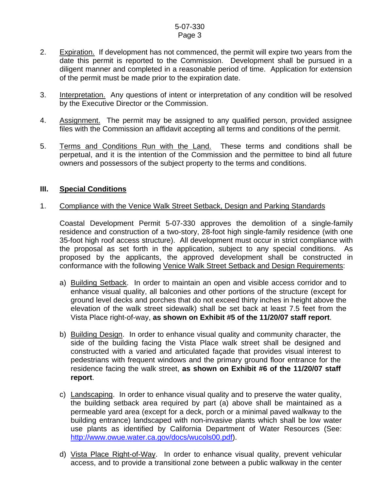- 2. Expiration. If development has not commenced, the permit will expire two years from the date this permit is reported to the Commission. Development shall be pursued in a diligent manner and completed in a reasonable period of time. Application for extension of the permit must be made prior to the expiration date.
- 3. Interpretation. Any questions of intent or interpretation of any condition will be resolved by the Executive Director or the Commission.
- 4. Assignment. The permit may be assigned to any qualified person, provided assignee files with the Commission an affidavit accepting all terms and conditions of the permit.
- 5. Terms and Conditions Run with the Land. These terms and conditions shall be perpetual, and it is the intention of the Commission and the permittee to bind all future owners and possessors of the subject property to the terms and conditions.

## **III. Special Conditions**

#### 1. Compliance with the Venice Walk Street Setback, Design and Parking Standards

 Coastal Development Permit 5-07-330 approves the demolition of a single-family residence and construction of a two-story, 28-foot high single-family residence (with one 35-foot high roof access structure). All development must occur in strict compliance with the proposal as set forth in the application, subject to any special conditions. As proposed by the applicants, the approved development shall be constructed in conformance with the following Venice Walk Street Setback and Design Requirements:

- a) Building Setback. In order to maintain an open and visible access corridor and to enhance visual quality, all balconies and other portions of the structure (except for ground level decks and porches that do not exceed thirty inches in height above the elevation of the walk street sidewalk) shall be set back at least 7.5 feet from the Vista Place right-of-way, **as shown on Exhibit #5 of the 11/20/07 staff report**.
- b) Building Design. In order to enhance visual quality and community character, the side of the building facing the Vista Place walk street shall be designed and constructed with a varied and articulated façade that provides visual interest to pedestrians with frequent windows and the primary ground floor entrance for the residence facing the walk street, **as shown on Exhibit #6 of the 11/20/07 staff report**.
- c) Landscaping. In order to enhance visual quality and to preserve the water quality, the building setback area required by part (a) above shall be maintained as a permeable yard area (except for a deck, porch or a minimal paved walkway to the building entrance) landscaped with non-invasive plants which shall be low water use plants as identified by California Department of Water Resources (See: [http://www.owue.water.ca.gov/docs/wucols00.pdf\)](http://www.owue.water.ca.gov/docs/wucols00.pdf).
- d) Vista Place Right-of-Way. In order to enhance visual quality, prevent vehicular access, and to provide a transitional zone between a public walkway in the center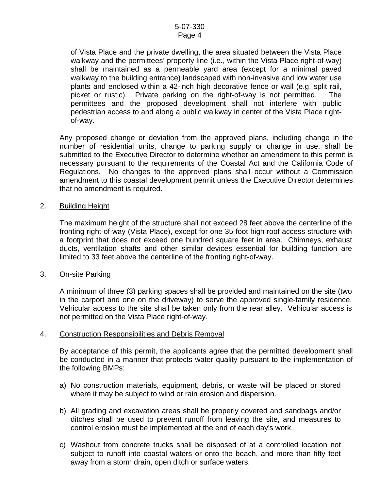of Vista Place and the private dwelling, the area situated between the Vista Place walkway and the permittees' property line (i.e., within the Vista Place right-of-way) shall be maintained as a permeable yard area (except for a minimal paved walkway to the building entrance) landscaped with non-invasive and low water use plants and enclosed within a 42-inch high decorative fence or wall (e.g. split rail, picket or rustic). Private parking on the right-of-way is not permitted. The permittees and the proposed development shall not interfere with public pedestrian access to and along a public walkway in center of the Vista Place rightof-way.

Any proposed change or deviation from the approved plans, including change in the number of residential units, change to parking supply or change in use, shall be submitted to the Executive Director to determine whether an amendment to this permit is necessary pursuant to the requirements of the Coastal Act and the California Code of Regulations. No changes to the approved plans shall occur without a Commission amendment to this coastal development permit unless the Executive Director determines that no amendment is required.

#### 2. Building Height

The maximum height of the structure shall not exceed 28 feet above the centerline of the fronting right-of-way (Vista Place), except for one 35-foot high roof access structure with a footprint that does not exceed one hundred square feet in area. Chimneys, exhaust ducts, ventilation shafts and other similar devices essential for building function are limited to 33 feet above the centerline of the fronting right-of-way.

#### 3. On-site Parking

A minimum of three (3) parking spaces shall be provided and maintained on the site (two in the carport and one on the driveway) to serve the approved single-family residence. Vehicular access to the site shall be taken only from the rear alley. Vehicular access is not permitted on the Vista Place right-of-way.

### 4. Construction Responsibilities and Debris Removal

By acceptance of this permit, the applicants agree that the permitted development shall be conducted in a manner that protects water quality pursuant to the implementation of the following BMPs:

- a) No construction materials, equipment, debris, or waste will be placed or stored where it may be subject to wind or rain erosion and dispersion.
- b) All grading and excavation areas shall be properly covered and sandbags and/or ditches shall be used to prevent runoff from leaving the site, and measures to control erosion must be implemented at the end of each day's work.
- c) Washout from concrete trucks shall be disposed of at a controlled location not subject to runoff into coastal waters or onto the beach, and more than fifty feet away from a storm drain, open ditch or surface waters.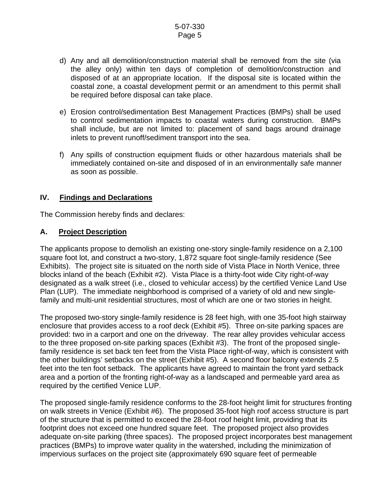- d) Any and all demolition/construction material shall be removed from the site (via the alley only) within ten days of completion of demolition/construction and disposed of at an appropriate location. If the disposal site is located within the coastal zone, a coastal development permit or an amendment to this permit shall be required before disposal can take place.
- e) Erosion control/sedimentation Best Management Practices (BMPs) shall be used to control sedimentation impacts to coastal waters during construction. BMPs shall include, but are not limited to: placement of sand bags around drainage inlets to prevent runoff/sediment transport into the sea.
- f) Any spills of construction equipment fluids or other hazardous materials shall be immediately contained on-site and disposed of in an environmentally safe manner as soon as possible.

## **IV. Findings and Declarations**

The Commission hereby finds and declares:

### **A. Project Description**

The applicants propose to demolish an existing one-story single-family residence on a 2,100 square foot lot, and construct a two-story, 1,872 square foot single-family residence (See Exhibits). The project site is situated on the north side of Vista Place in North Venice, three blocks inland of the beach (Exhibit #2). Vista Place is a thirty-foot wide City right-of-way designated as a walk street (i.e., closed to vehicular access) by the certified Venice Land Use Plan (LUP). The immediate neighborhood is comprised of a variety of old and new singlefamily and multi-unit residential structures, most of which are one or two stories in height.

The proposed two-story single-family residence is 28 feet high, with one 35-foot high stairway enclosure that provides access to a roof deck (Exhibit #5). Three on-site parking spaces are provided: two in a carport and one on the driveway. The rear alley provides vehicular access to the three proposed on-site parking spaces (Exhibit #3). The front of the proposed singlefamily residence is set back ten feet from the Vista Place right-of-way, which is consistent with the other buildings' setbacks on the street (Exhibit #5). A second floor balcony extends 2.5 feet into the ten foot setback. The applicants have agreed to maintain the front yard setback area and a portion of the fronting right-of-way as a landscaped and permeable yard area as required by the certified Venice LUP.

The proposed single-family residence conforms to the 28-foot height limit for structures fronting on walk streets in Venice (Exhibit #6). The proposed 35-foot high roof access structure is part of the structure that is permitted to exceed the 28-foot roof height limit, providing that its footprint does not exceed one hundred square feet. The proposed project also provides adequate on-site parking (three spaces). The proposed project incorporates best management practices (BMPs) to improve water quality in the watershed, including the minimization of impervious surfaces on the project site (approximately 690 square feet of permeable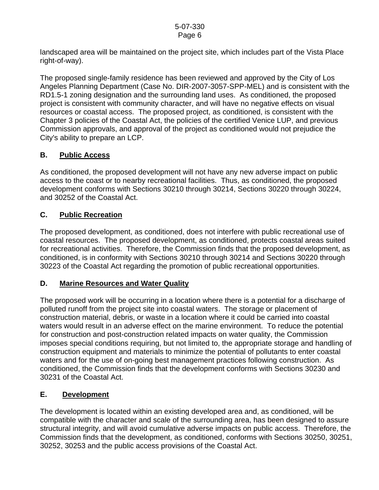landscaped area will be maintained on the project site, which includes part of the Vista Place right-of-way).

The proposed single-family residence has been reviewed and approved by the City of Los Angeles Planning Department (Case No. DIR-2007-3057-SPP-MEL) and is consistent with the RD1.5-1 zoning designation and the surrounding land uses. As conditioned, the proposed project is consistent with community character, and will have no negative effects on visual resources or coastal access. The proposed project, as conditioned, is consistent with the Chapter 3 policies of the Coastal Act, the policies of the certified Venice LUP, and previous Commission approvals, and approval of the project as conditioned would not prejudice the City's ability to prepare an LCP.

# **B. Public Access**

As conditioned, the proposed development will not have any new adverse impact on public access to the coast or to nearby recreational facilities. Thus, as conditioned, the proposed development conforms with Sections 30210 through 30214, Sections 30220 through 30224, and 30252 of the Coastal Act.

# **C. Public Recreation**

The proposed development, as conditioned, does not interfere with public recreational use of coastal resources. The proposed development, as conditioned, protects coastal areas suited for recreational activities. Therefore, the Commission finds that the proposed development, as conditioned, is in conformity with Sections 30210 through 30214 and Sections 30220 through 30223 of the Coastal Act regarding the promotion of public recreational opportunities.

# **D. Marine Resources and Water Quality**

The proposed work will be occurring in a location where there is a potential for a discharge of polluted runoff from the project site into coastal waters. The storage or placement of construction material, debris, or waste in a location where it could be carried into coastal waters would result in an adverse effect on the marine environment. To reduce the potential for construction and post-construction related impacts on water quality, the Commission imposes special conditions requiring, but not limited to, the appropriate storage and handling of construction equipment and materials to minimize the potential of pollutants to enter coastal waters and for the use of on-going best management practices following construction. As conditioned, the Commission finds that the development conforms with Sections 30230 and 30231 of the Coastal Act.

# **E. Development**

The development is located within an existing developed area and, as conditioned, will be compatible with the character and scale of the surrounding area, has been designed to assure structural integrity, and will avoid cumulative adverse impacts on public access. Therefore, the Commission finds that the development, as conditioned, conforms with Sections 30250, 30251, 30252, 30253 and the public access provisions of the Coastal Act.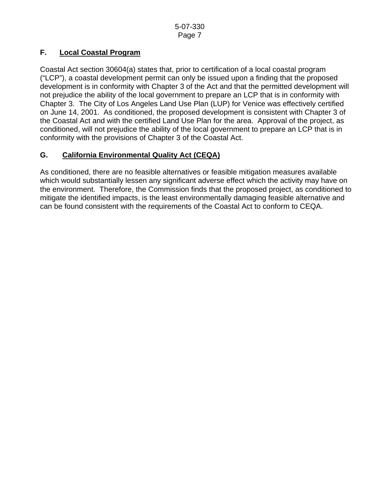# **F. Local Coastal Program**

Coastal Act section 30604(a) states that, prior to certification of a local coastal program ("LCP"), a coastal development permit can only be issued upon a finding that the proposed development is in conformity with Chapter 3 of the Act and that the permitted development will not prejudice the ability of the local government to prepare an LCP that is in conformity with Chapter 3. The City of Los Angeles Land Use Plan (LUP) for Venice was effectively certified on June 14, 2001. As conditioned, the proposed development is consistent with Chapter 3 of the Coastal Act and with the certified Land Use Plan for the area. Approval of the project, as conditioned, will not prejudice the ability of the local government to prepare an LCP that is in conformity with the provisions of Chapter 3 of the Coastal Act.

# **G. California Environmental Quality Act (CEQA)**

As conditioned, there are no feasible alternatives or feasible mitigation measures available which would substantially lessen any significant adverse effect which the activity may have on the environment. Therefore, the Commission finds that the proposed project, as conditioned to mitigate the identified impacts, is the least environmentally damaging feasible alternative and can be found consistent with the requirements of the Coastal Act to conform to CEQA.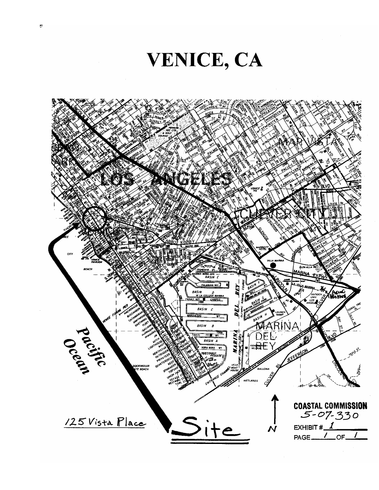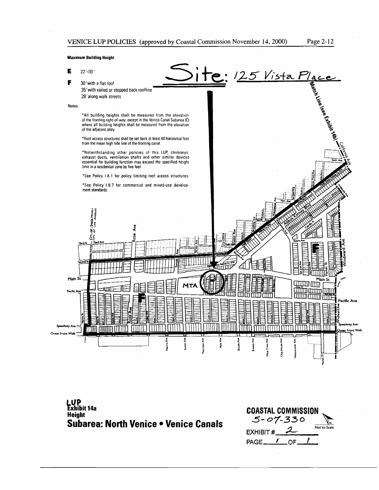Japach Live isse Exhibit 14

<u>ite:</u> 25 Vista Place

#### **Maximum Building Height**

- E  $22 - 30'$
- F 30' with a flat roof
	- 35' with varied or stepped back roofline
	- 28' along walk streets

#### Notes:

\*All building heights shall be measured from the elevation of the fronting right-of-way, except in the Venice Canal Subarea (E) where all building heights shall be measured from the elevation of the adjacent alley.

\*Roof access structures shall be set back at least 60 horizontal feet from the mean high tide line of the fronting canal.

\*Notwithstanding other policies of this LUP, chimneys,<br>exhaust ducts, ventilation shafts and other similar devices essential for building function may exceed the specified height limit in a residential zone by five feet.

\*See Policy I.A.1 for policy limiting roof access structures.

\*See Policy I.B.7 for commercial and mixed-use development standards.





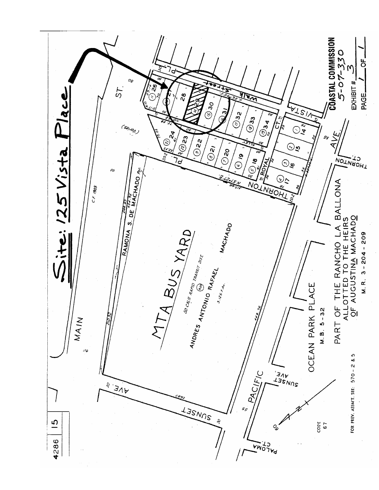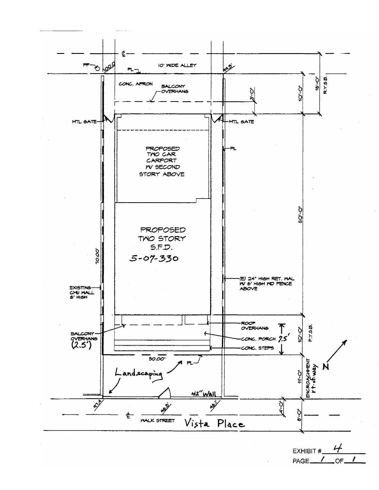

PAGE<sub>1</sub> OF.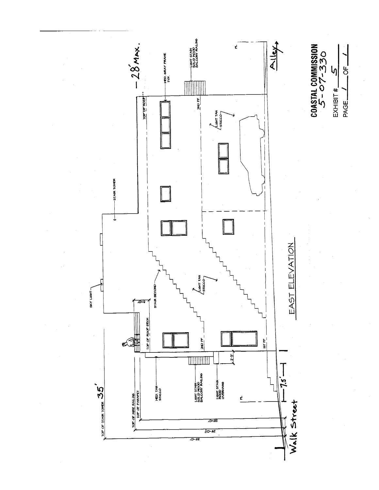